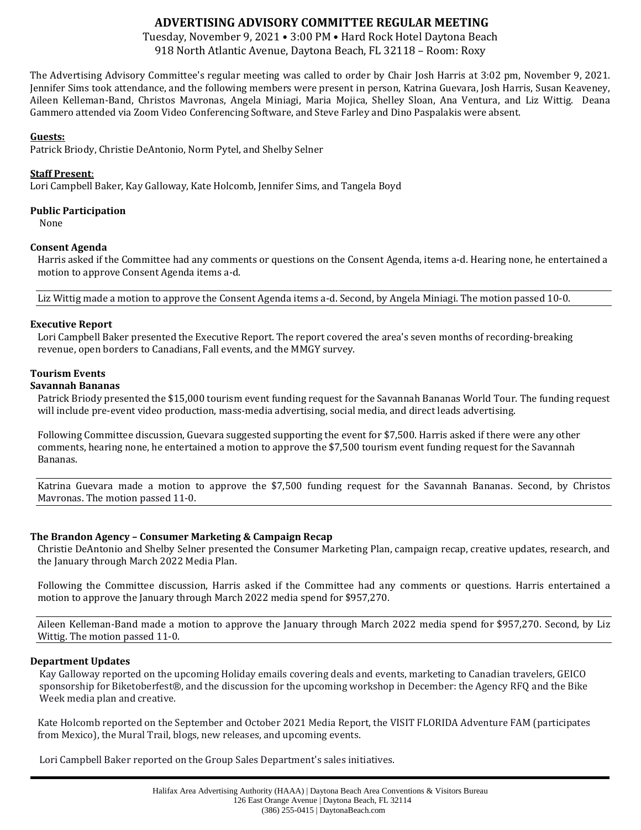# **ADVERTISING ADVISORY COMMITTEE REGULAR MEETING**

Tuesday, November 9, 2021 • 3:00 PM • Hard Rock Hotel Daytona Beach 918 North Atlantic Avenue, Daytona Beach, FL 32118 – Room: Roxy

The Advertising Advisory Committee's regular meeting was called to order by Chair Josh Harris at 3:02 pm, November 9, 2021. Jennifer Sims took attendance, and the following members were present in person, Katrina Guevara, Josh Harris, Susan Keaveney, Aileen Kelleman-Band, Christos Mavronas, Angela Miniagi, Maria Mojica, Shelley Sloan, Ana Ventura, and Liz Wittig. Deana Gammero attended via Zoom Video Conferencing Software, and Steve Farley and Dino Paspalakis were absent.

## **Guests:**

Patrick Briody, Christie DeAntonio, Norm Pytel, and Shelby Selner

## **Staff Present**:

Lori Campbell Baker, Kay Galloway, Kate Holcomb, Jennifer Sims, and Tangela Boyd

## **Public Participation**

None

## **Consent Agenda**

Harris asked if the Committee had any comments or questions on the Consent Agenda, items a-d. Hearing none, he entertained a motion to approve Consent Agenda items a-d.

Liz Wittig made a motion to approve the Consent Agenda items a-d. Second, by Angela Miniagi. The motion passed 10-0.

#### **Executive Report**

Lori Campbell Baker presented the Executive Report. The report covered the area's seven months of recording-breaking revenue, open borders to Canadians, Fall events, and the MMGY survey.

#### **Tourism Events**

#### **Savannah Bananas**

Patrick Briody presented the \$15,000 tourism event funding request for the Savannah Bananas World Tour. The funding request will include pre-event video production, mass-media advertising, social media, and direct leads advertising.

Following Committee discussion, Guevara suggested supporting the event for \$7,500. Harris asked if there were any other comments, hearing none, he entertained a motion to approve the \$7,500 tourism event funding request for the Savannah Bananas.

Katrina Guevara made a motion to approve the \$7,500 funding request for the Savannah Bananas. Second, by Christos Mavronas. The motion passed 11-0.

#### **The Brandon Agency – Consumer Marketing & Campaign Recap**

Christie DeAntonio and Shelby Selner presented the Consumer Marketing Plan, campaign recap, creative updates, research, and the January through March 2022 Media Plan.

Following the Committee discussion, Harris asked if the Committee had any comments or questions. Harris entertained a motion to approve the January through March 2022 media spend for \$957,270.

Aileen Kelleman-Band made a motion to approve the January through March 2022 media spend for \$957,270. Second, by Liz Wittig. The motion passed 11-0.

#### **Department Updates**

Kay Galloway reported on the upcoming Holiday emails covering deals and events, marketing to Canadian travelers, GEICO sponsorship for Biketoberfest®, and the discussion for the upcoming workshop in December: the Agency RFQ and the Bike Week media plan and creative.

Kate Holcomb reported on the September and October 2021 Media Report, the VISIT FLORIDA Adventure FAM (participates from Mexico), the Mural Trail, blogs, new releases, and upcoming events.

Lori Campbell Baker reported on the Group Sales Department's sales initiatives.